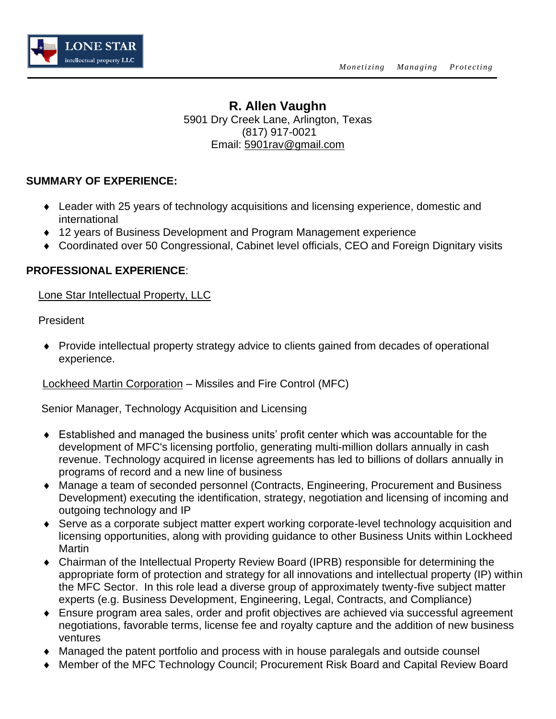

# **R. Allen Vaughn** 5901 Dry Creek Lane, Arlington, Texas (817) 917-0021 Email: [5901rav@gmail.com](mailto:5901rav@gmail.com)

#### **SUMMARY OF EXPERIENCE:**

- Leader with 25 years of technology acquisitions and licensing experience, domestic and international
- 12 years of Business Development and Program Management experience
- Coordinated over 50 Congressional, Cabinet level officials, CEO and Foreign Dignitary visits

#### **PROFESSIONAL EXPERIENCE**:

Lone Star Intellectual Property, LLC

President

 Provide intellectual property strategy advice to clients gained from decades of operational experience.

Lockheed Martin Corporation – Missiles and Fire Control (MFC)

Senior Manager, Technology Acquisition and Licensing

- Established and managed the business units' profit center which was accountable for the development of MFC's licensing portfolio, generating multi-million dollars annually in cash revenue. Technology acquired in license agreements has led to billions of dollars annually in programs of record and a new line of business
- Manage a team of seconded personnel (Contracts, Engineering, Procurement and Business Development) executing the identification, strategy, negotiation and licensing of incoming and outgoing technology and IP
- Serve as a corporate subject matter expert working corporate-level technology acquisition and licensing opportunities, along with providing guidance to other Business Units within Lockheed **Martin**
- Chairman of the Intellectual Property Review Board (IPRB) responsible for determining the appropriate form of protection and strategy for all innovations and intellectual property (IP) within the MFC Sector. In this role lead a diverse group of approximately twenty-five subject matter experts (e.g. Business Development, Engineering, Legal, Contracts, and Compliance)
- Ensure program area sales, order and profit objectives are achieved via successful agreement negotiations, favorable terms, license fee and royalty capture and the addition of new business ventures
- Managed the patent portfolio and process with in house paralegals and outside counsel
- Member of the MFC Technology Council; Procurement Risk Board and Capital Review Board